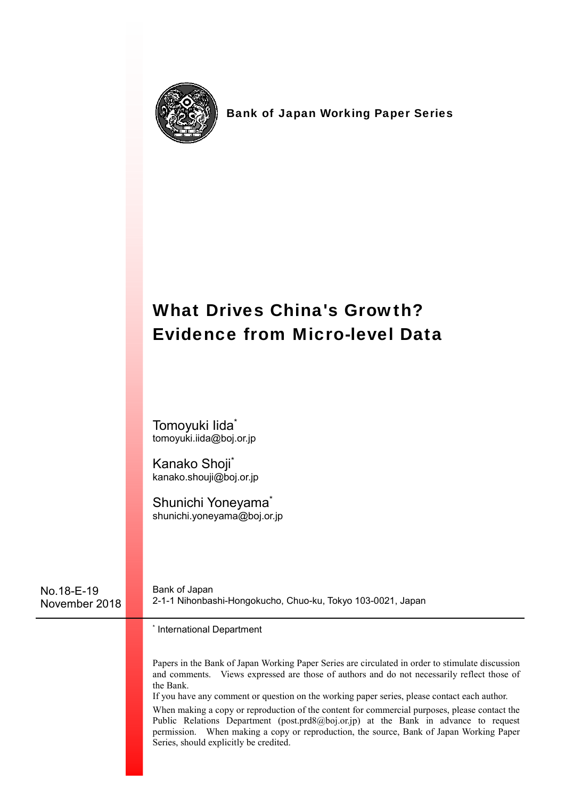

Bank of Japan Working Paper Series

# What Drives China's Growth? Evidence from Micro-level Data

Tomoyuki Iida\* tomoyuki.iida@boj.or.jp

Kanako Shoji\* kanako.shouji@boj.or.jp

Shunichi Yoneyama<sup>\*</sup> shunichi.yoneyama@boj.or.jp

No.18-E-19 November 2018 Bank of Japan 2-1-1 Nihonbashi-Hongokucho, Chuo-ku, Tokyo 103-0021, Japan

\* International Department

Papers in the Bank of Japan Working Paper Series are circulated in order to stimulate discussion and comments. Views expressed are those of authors and do not necessarily reflect those of the Bank.

If you have any comment or question on the working paper series, please contact each author.

When making a copy or reproduction of the content for commercial purposes, please contact the Public Relations Department (post.prd8@boj.or.jp) at the Bank in advance to request permission. When making a copy or reproduction, the source, Bank of Japan Working Paper Series, should explicitly be credited.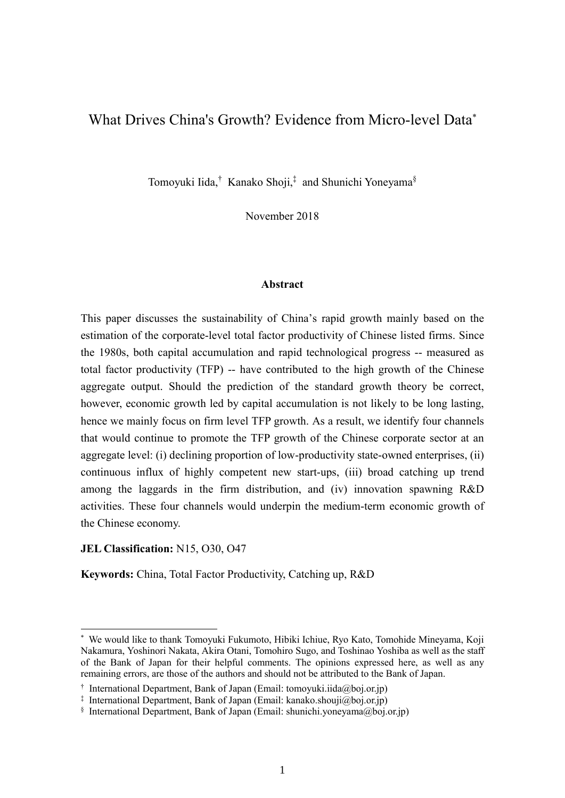### What Drives China's Growth? Evidence from Micro-level Data\*

Tomoyuki Iida,<sup>†</sup> Kanako Shoji,<sup>‡</sup> and Shunichi Yoneyama<sup>§</sup>

November 2018

#### **Abstract**

This paper discusses the sustainability of China's rapid growth mainly based on the estimation of the corporate-level total factor productivity of Chinese listed firms. Since the 1980s, both capital accumulation and rapid technological progress -- measured as total factor productivity (TFP) -- have contributed to the high growth of the Chinese aggregate output. Should the prediction of the standard growth theory be correct, however, economic growth led by capital accumulation is not likely to be long lasting, hence we mainly focus on firm level TFP growth. As a result, we identify four channels that would continue to promote the TFP growth of the Chinese corporate sector at an aggregate level: (i) declining proportion of low-productivity state-owned enterprises, (ii) continuous influx of highly competent new start-ups, (iii) broad catching up trend among the laggards in the firm distribution, and (iv) innovation spawning R&D activities. These four channels would underpin the medium-term economic growth of the Chinese economy.

#### **JEL Classification:** N15, O30, O47

-

**Keywords:** China, Total Factor Productivity, Catching up, R&D

<sup>\*</sup> We would like to thank Tomoyuki Fukumoto, Hibiki Ichiue, Ryo Kato, Tomohide Mineyama, Koji Nakamura, Yoshinori Nakata, Akira Otani, Tomohiro Sugo, and Toshinao Yoshiba as well as the staff of the Bank of Japan for their helpful comments. The opinions expressed here, as well as any remaining errors, are those of the authors and should not be attributed to the Bank of Japan.

<sup>†</sup> International Department, Bank of Japan (Email: tomoyuki.iida@boj.or.jp)

<sup>‡</sup> International Department, Bank of Japan (Email: kanako.shouji@boj.or.jp)

 $§$  International Department, Bank of Japan (Email: shunichi.yoneyama@boj.or.jp)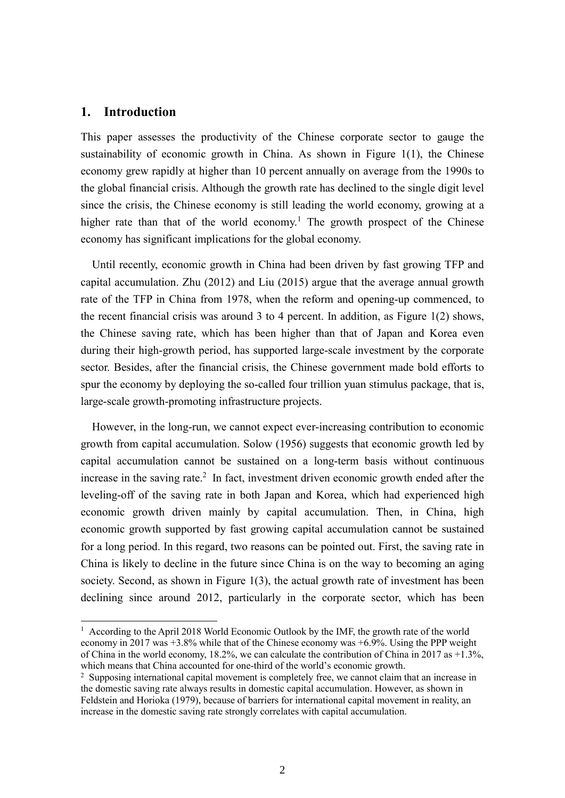#### **1. Introduction**

1

This paper assesses the productivity of the Chinese corporate sector to gauge the sustainability of economic growth in China. As shown in Figure 1(1), the Chinese economy grew rapidly at higher than 10 percent annually on average from the 1990s to the global financial crisis. Although the growth rate has declined to the single digit level since the crisis, the Chinese economy is still leading the world economy, growing at a higher rate than that of the world economy.<sup>1</sup> The growth prospect of the Chinese economy has significant implications for the global economy.

 Until recently, economic growth in China had been driven by fast growing TFP and capital accumulation. Zhu (2012) and Liu (2015) argue that the average annual growth rate of the TFP in China from 1978, when the reform and opening-up commenced, to the recent financial crisis was around 3 to 4 percent. In addition, as Figure 1(2) shows, the Chinese saving rate, which has been higher than that of Japan and Korea even during their high-growth period, has supported large-scale investment by the corporate sector. Besides, after the financial crisis, the Chinese government made bold efforts to spur the economy by deploying the so-called four trillion yuan stimulus package, that is, large-scale growth-promoting infrastructure projects.

 However, in the long-run, we cannot expect ever-increasing contribution to economic growth from capital accumulation. Solow (1956) suggests that economic growth led by capital accumulation cannot be sustained on a long-term basis without continuous increase in the saving rate.<sup>2</sup> In fact, investment driven economic growth ended after the leveling-off of the saving rate in both Japan and Korea, which had experienced high economic growth driven mainly by capital accumulation. Then, in China, high economic growth supported by fast growing capital accumulation cannot be sustained for a long period. In this regard, two reasons can be pointed out. First, the saving rate in China is likely to decline in the future since China is on the way to becoming an aging society. Second, as shown in Figure 1(3), the actual growth rate of investment has been declining since around 2012, particularly in the corporate sector, which has been

<sup>&</sup>lt;sup>1</sup> According to the April 2018 World Economic Outlook by the IMF, the growth rate of the world economy in 2017 was +3.8% while that of the Chinese economy was +6.9%. Using the PPP weight of China in the world economy, 18.2%, we can calculate the contribution of China in 2017 as +1.3%, which means that China accounted for one-third of the world's economic growth.

<sup>&</sup>lt;sup>2</sup> Supposing international capital movement is completely free, we cannot claim that an increase in the domestic saving rate always results in domestic capital accumulation. However, as shown in Feldstein and Horioka (1979), because of barriers for international capital movement in reality, an increase in the domestic saving rate strongly correlates with capital accumulation.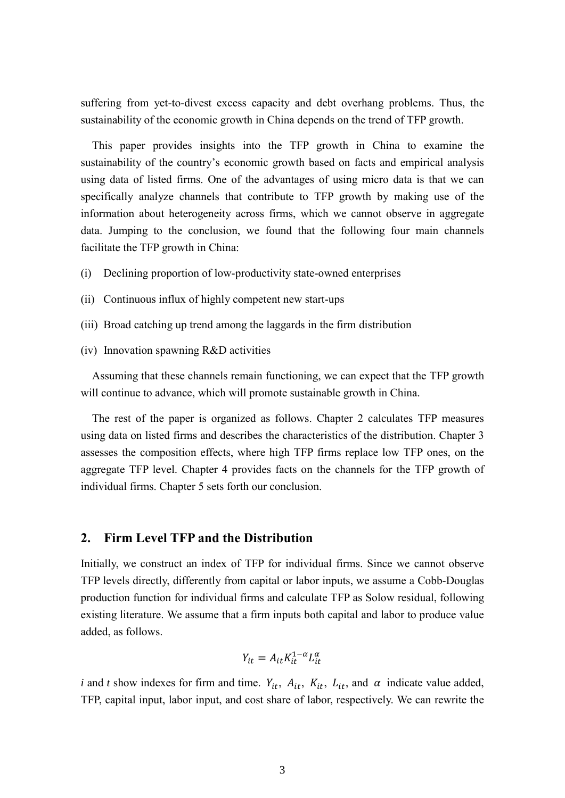suffering from yet-to-divest excess capacity and debt overhang problems. Thus, the sustainability of the economic growth in China depends on the trend of TFP growth.

 This paper provides insights into the TFP growth in China to examine the sustainability of the country's economic growth based on facts and empirical analysis using data of listed firms. One of the advantages of using micro data is that we can specifically analyze channels that contribute to TFP growth by making use of the information about heterogeneity across firms, which we cannot observe in aggregate data. Jumping to the conclusion, we found that the following four main channels facilitate the TFP growth in China:

- (i) Declining proportion of low-productivity state-owned enterprises
- (ii) Continuous influx of highly competent new start-ups
- (iii) Broad catching up trend among the laggards in the firm distribution
- (iv) Innovation spawning R&D activities

Assuming that these channels remain functioning, we can expect that the TFP growth will continue to advance, which will promote sustainable growth in China.

 The rest of the paper is organized as follows. Chapter 2 calculates TFP measures using data on listed firms and describes the characteristics of the distribution. Chapter 3 assesses the composition effects, where high TFP firms replace low TFP ones, on the aggregate TFP level. Chapter 4 provides facts on the channels for the TFP growth of individual firms. Chapter 5 sets forth our conclusion.

#### **2. Firm Level TFP and the Distribution**

Initially, we construct an index of TFP for individual firms. Since we cannot observe TFP levels directly, differently from capital or labor inputs, we assume a Cobb-Douglas production function for individual firms and calculate TFP as Solow residual, following existing literature. We assume that a firm inputs both capital and labor to produce value added, as follows.

$$
Y_{it} = A_{it} K_{it}^{1-\alpha} L_{it}^{\alpha}
$$

*i* and *t* show indexes for firm and time.  $Y_{it}$ ,  $A_{it}$ ,  $K_{it}$ ,  $L_{it}$ , and  $\alpha$  indicate value added, TFP, capital input, labor input, and cost share of labor, respectively. We can rewrite the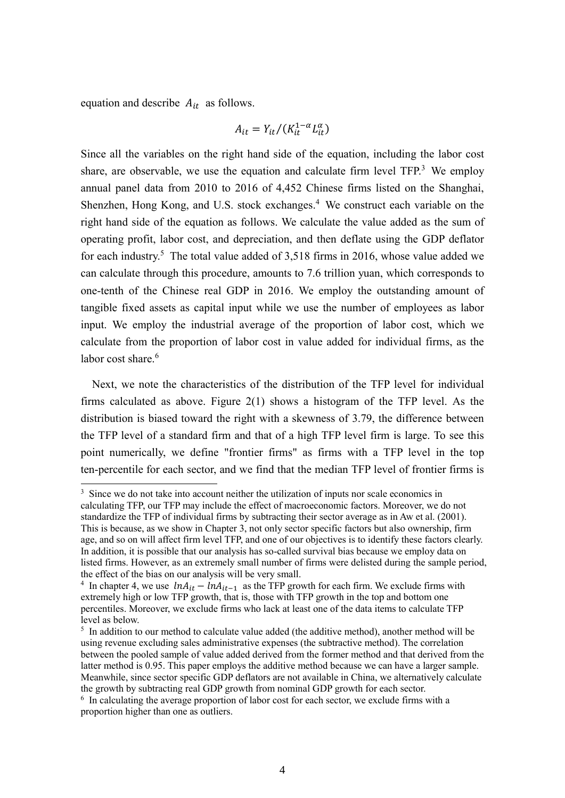equation and describe  $A_{it}$  as follows.

1

$$
A_{it} = Y_{it}/(K_{it}^{1-\alpha}L_{it}^{\alpha})
$$

Since all the variables on the right hand side of the equation, including the labor cost share, are observable, we use the equation and calculate firm level  $TFP<sup>3</sup>$  We employ annual panel data from 2010 to 2016 of 4,452 Chinese firms listed on the Shanghai, Shenzhen, Hong Kong, and U.S. stock exchanges.<sup>4</sup> We construct each variable on the right hand side of the equation as follows. We calculate the value added as the sum of operating profit, labor cost, and depreciation, and then deflate using the GDP deflator for each industry.<sup>5</sup> The total value added of  $3,518$  firms in 2016, whose value added we can calculate through this procedure, amounts to 7.6 trillion yuan, which corresponds to one-tenth of the Chinese real GDP in 2016. We employ the outstanding amount of tangible fixed assets as capital input while we use the number of employees as labor input. We employ the industrial average of the proportion of labor cost, which we calculate from the proportion of labor cost in value added for individual firms, as the labor cost share.<sup>6</sup>

 Next, we note the characteristics of the distribution of the TFP level for individual firms calculated as above. Figure 2(1) shows a histogram of the TFP level. As the distribution is biased toward the right with a skewness of 3.79, the difference between the TFP level of a standard firm and that of a high TFP level firm is large. To see this point numerically, we define "frontier firms" as firms with a TFP level in the top ten-percentile for each sector, and we find that the median TFP level of frontier firms is

<sup>&</sup>lt;sup>3</sup> Since we do not take into account neither the utilization of inputs nor scale economics in calculating TFP, our TFP may include the effect of macroeconomic factors. Moreover, we do not standardize the TFP of individual firms by subtracting their sector average as in Aw et al. (2001). This is because, as we show in Chapter 3, not only sector specific factors but also ownership, firm age, and so on will affect firm level TFP, and one of our objectives is to identify these factors clearly. In addition, it is possible that our analysis has so-called survival bias because we employ data on listed firms. However, as an extremely small number of firms were delisted during the sample period, the effect of the bias on our analysis will be very small.

<sup>&</sup>lt;sup>4</sup> In chapter 4, we use  $ln A_{it} - ln A_{it-1}$  as the TFP growth for each firm. We exclude firms with extremely high or low TFP growth, that is, those with TFP growth in the top and bottom one percentiles. Moreover, we exclude firms who lack at least one of the data items to calculate TFP level as below.

<sup>&</sup>lt;sup>5</sup> In addition to our method to calculate value added (the additive method), another method will be using revenue excluding sales administrative expenses (the subtractive method). The correlation between the pooled sample of value added derived from the former method and that derived from the latter method is 0.95. This paper employs the additive method because we can have a larger sample. Meanwhile, since sector specific GDP deflators are not available in China, we alternatively calculate the growth by subtracting real GDP growth from nominal GDP growth for each sector.

 $6\,$  In calculating the average proportion of labor cost for each sector, we exclude firms with a proportion higher than one as outliers.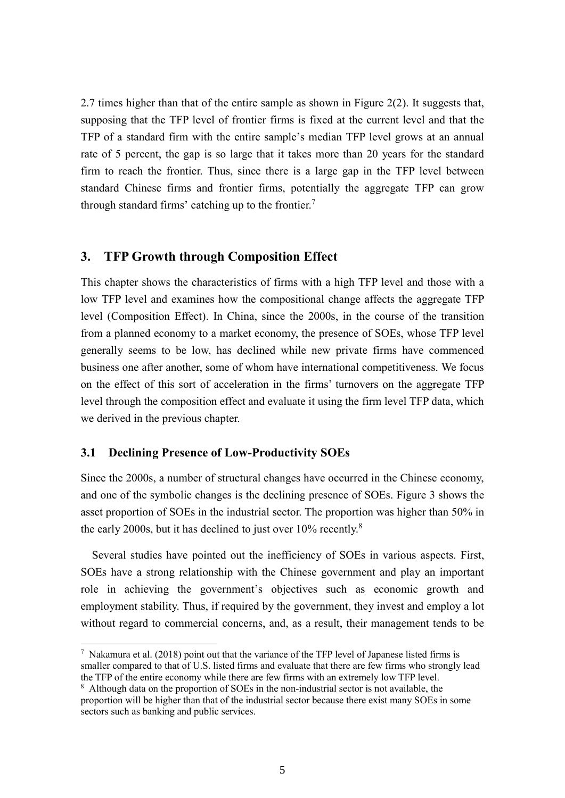2.7 times higher than that of the entire sample as shown in Figure 2(2). It suggests that, supposing that the TFP level of frontier firms is fixed at the current level and that the TFP of a standard firm with the entire sample's median TFP level grows at an annual rate of 5 percent, the gap is so large that it takes more than 20 years for the standard firm to reach the frontier. Thus, since there is a large gap in the TFP level between standard Chinese firms and frontier firms, potentially the aggregate TFP can grow through standard firms' catching up to the frontier.<sup>7</sup>

#### **3. TFP Growth through Composition Effect**

This chapter shows the characteristics of firms with a high TFP level and those with a low TFP level and examines how the compositional change affects the aggregate TFP level (Composition Effect). In China, since the 2000s, in the course of the transition from a planned economy to a market economy, the presence of SOEs, whose TFP level generally seems to be low, has declined while new private firms have commenced business one after another, some of whom have international competitiveness. We focus on the effect of this sort of acceleration in the firms' turnovers on the aggregate TFP level through the composition effect and evaluate it using the firm level TFP data, which we derived in the previous chapter.

#### **3.1 Declining Presence of Low-Productivity SOEs**

-

Since the 2000s, a number of structural changes have occurred in the Chinese economy, and one of the symbolic changes is the declining presence of SOEs. Figure 3 shows the asset proportion of SOEs in the industrial sector. The proportion was higher than 50% in the early 2000s, but it has declined to just over  $10\%$  recently.<sup>8</sup>

 Several studies have pointed out the inefficiency of SOEs in various aspects. First, SOEs have a strong relationship with the Chinese government and play an important role in achieving the government's objectives such as economic growth and employment stability. Thus, if required by the government, they invest and employ a lot without regard to commercial concerns, and, as a result, their management tends to be

 $7$  Nakamura et al. (2018) point out that the variance of the TFP level of Japanese listed firms is smaller compared to that of U.S. listed firms and evaluate that there are few firms who strongly lead the TFP of the entire economy while there are few firms with an extremely low TFP level.

<sup>&</sup>lt;sup>8</sup> Although data on the proportion of SOEs in the non-industrial sector is not available, the proportion will be higher than that of the industrial sector because there exist many SOEs in some sectors such as banking and public services.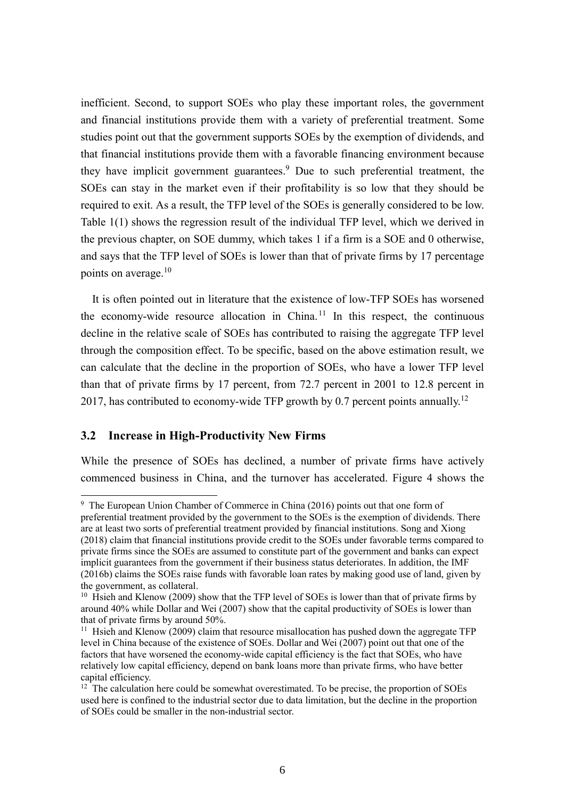inefficient. Second, to support SOEs who play these important roles, the government and financial institutions provide them with a variety of preferential treatment. Some studies point out that the government supports SOEs by the exemption of dividends, and that financial institutions provide them with a favorable financing environment because they have implicit government guarantees.<sup>9</sup> Due to such preferential treatment, the SOEs can stay in the market even if their profitability is so low that they should be required to exit. As a result, the TFP level of the SOEs is generally considered to be low. Table 1(1) shows the regression result of the individual TFP level, which we derived in the previous chapter, on SOE dummy, which takes 1 if a firm is a SOE and 0 otherwise, and says that the TFP level of SOEs is lower than that of private firms by 17 percentage points on average. $10$ 

 It is often pointed out in literature that the existence of low-TFP SOEs has worsened the economy-wide resource allocation in China.<sup>11</sup> In this respect, the continuous decline in the relative scale of SOEs has contributed to raising the aggregate TFP level through the composition effect. To be specific, based on the above estimation result, we can calculate that the decline in the proportion of SOEs, who have a lower TFP level than that of private firms by 17 percent, from 72.7 percent in 2001 to 12.8 percent in 2017, has contributed to economy-wide TFP growth by 0.7 percent points annually.<sup>12</sup>

#### **3.2 Increase in High-Productivity New Firms**

-

While the presence of SOEs has declined, a number of private firms have actively commenced business in China, and the turnover has accelerated. Figure 4 shows the

<sup>&</sup>lt;sup>9</sup> The European Union Chamber of Commerce in China (2016) points out that one form of preferential treatment provided by the government to the SOEs is the exemption of dividends. There are at least two sorts of preferential treatment provided by financial institutions. Song and Xiong (2018) claim that financial institutions provide credit to the SOEs under favorable terms compared to private firms since the SOEs are assumed to constitute part of the government and banks can expect implicit guarantees from the government if their business status deteriorates. In addition, the IMF (2016b) claims the SOEs raise funds with favorable loan rates by making good use of land, given by the government, as collateral.

 $10$  Hsieh and Klenow (2009) show that the TFP level of SOEs is lower than that of private firms by around 40% while Dollar and Wei (2007) show that the capital productivity of SOEs is lower than that of private firms by around 50%.

 $11$  Hsieh and Klenow (2009) claim that resource misallocation has pushed down the aggregate TFP level in China because of the existence of SOEs. Dollar and Wei (2007) point out that one of the factors that have worsened the economy-wide capital efficiency is the fact that SOEs, who have relatively low capital efficiency, depend on bank loans more than private firms, who have better capital efficiency.

 $12$  The calculation here could be somewhat overestimated. To be precise, the proportion of SOEs used here is confined to the industrial sector due to data limitation, but the decline in the proportion of SOEs could be smaller in the non-industrial sector.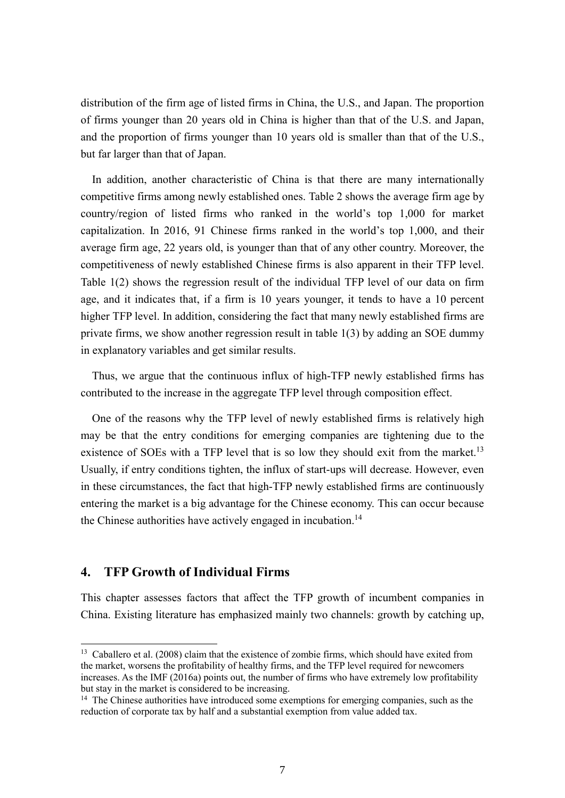distribution of the firm age of listed firms in China, the U.S., and Japan. The proportion of firms younger than 20 years old in China is higher than that of the U.S. and Japan, and the proportion of firms younger than 10 years old is smaller than that of the U.S., but far larger than that of Japan.

In addition, another characteristic of China is that there are many internationally competitive firms among newly established ones. Table 2 shows the average firm age by country/region of listed firms who ranked in the world's top 1,000 for market capitalization. In 2016, 91 Chinese firms ranked in the world's top 1,000, and their average firm age, 22 years old, is younger than that of any other country. Moreover, the competitiveness of newly established Chinese firms is also apparent in their TFP level. Table 1(2) shows the regression result of the individual TFP level of our data on firm age, and it indicates that, if a firm is 10 years younger, it tends to have a 10 percent higher TFP level. In addition, considering the fact that many newly established firms are private firms, we show another regression result in table 1(3) by adding an SOE dummy in explanatory variables and get similar results.

Thus, we argue that the continuous influx of high-TFP newly established firms has contributed to the increase in the aggregate TFP level through composition effect.

One of the reasons why the TFP level of newly established firms is relatively high may be that the entry conditions for emerging companies are tightening due to the existence of SOEs with a TFP level that is so low they should exit from the market.<sup>13</sup> Usually, if entry conditions tighten, the influx of start-ups will decrease. However, even in these circumstances, the fact that high-TFP newly established firms are continuously entering the market is a big advantage for the Chinese economy. This can occur because the Chinese authorities have actively engaged in incubation.<sup>14</sup>

#### **4. TFP Growth of Individual Firms**

-

This chapter assesses factors that affect the TFP growth of incumbent companies in China. Existing literature has emphasized mainly two channels: growth by catching up,

<sup>&</sup>lt;sup>13</sup> Caballero et al. (2008) claim that the existence of zombie firms, which should have exited from the market, worsens the profitability of healthy firms, and the TFP level required for newcomers increases. As the IMF (2016a) points out, the number of firms who have extremely low profitability but stay in the market is considered to be increasing.

 $14$  The Chinese authorities have introduced some exemptions for emerging companies, such as the reduction of corporate tax by half and a substantial exemption from value added tax.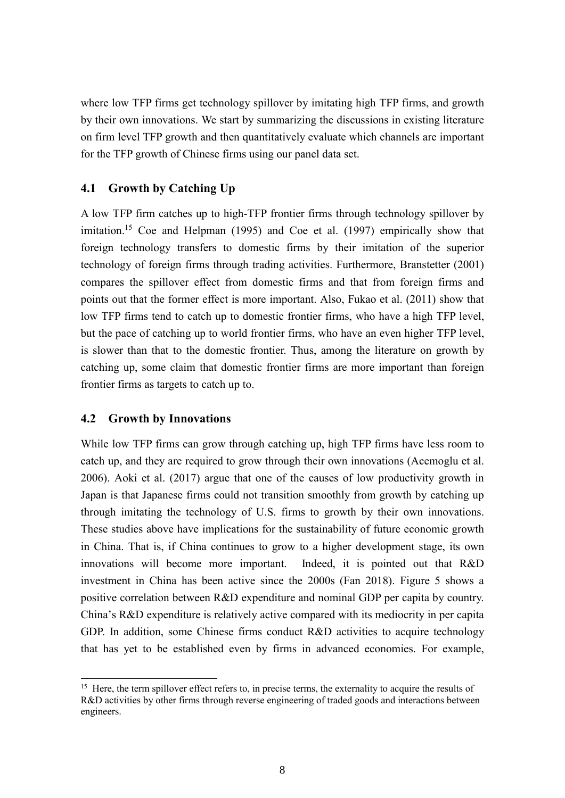where low TFP firms get technology spillover by imitating high TFP firms, and growth by their own innovations. We start by summarizing the discussions in existing literature on firm level TFP growth and then quantitatively evaluate which channels are important for the TFP growth of Chinese firms using our panel data set.

#### **4.1 Growth by Catching Up**

A low TFP firm catches up to high-TFP frontier firms through technology spillover by imitation.<sup>15</sup> Coe and Helpman (1995) and Coe et al. (1997) empirically show that foreign technology transfers to domestic firms by their imitation of the superior technology of foreign firms through trading activities. Furthermore, Branstetter (2001) compares the spillover effect from domestic firms and that from foreign firms and points out that the former effect is more important. Also, Fukao et al. (2011) show that low TFP firms tend to catch up to domestic frontier firms, who have a high TFP level, but the pace of catching up to world frontier firms, who have an even higher TFP level, is slower than that to the domestic frontier. Thus, among the literature on growth by catching up, some claim that domestic frontier firms are more important than foreign frontier firms as targets to catch up to.

#### **4.2 Growth by Innovations**

1

While low TFP firms can grow through catching up, high TFP firms have less room to catch up, and they are required to grow through their own innovations (Acemoglu et al. 2006). Aoki et al. (2017) argue that one of the causes of low productivity growth in Japan is that Japanese firms could not transition smoothly from growth by catching up through imitating the technology of U.S. firms to growth by their own innovations. These studies above have implications for the sustainability of future economic growth in China. That is, if China continues to grow to a higher development stage, its own innovations will become more important. Indeed, it is pointed out that R&D investment in China has been active since the 2000s (Fan 2018). Figure 5 shows a positive correlation between R&D expenditure and nominal GDP per capita by country. China's R&D expenditure is relatively active compared with its mediocrity in per capita GDP. In addition, some Chinese firms conduct R&D activities to acquire technology that has yet to be established even by firms in advanced economies. For example,

<sup>&</sup>lt;sup>15</sup> Here, the term spillover effect refers to, in precise terms, the externality to acquire the results of R&D activities by other firms through reverse engineering of traded goods and interactions between engineers.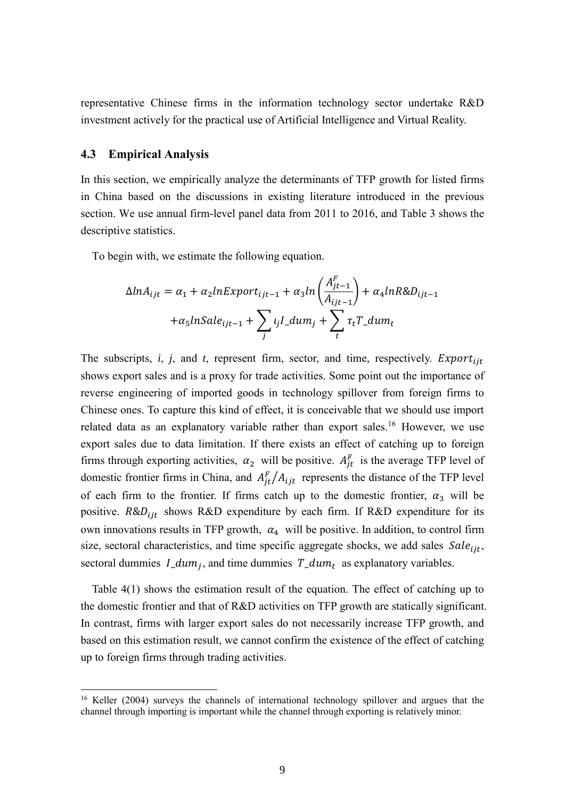representative Chinese firms in the information technology sector undertake R&D investment actively for the practical use of Artificial Intelligence and Virtual Reality.

#### **4.3 Empirical Analysis**

-

In this section, we empirically analyze the determinants of TFP growth for listed firms in China based on the discussions in existing literature introduced in the previous section. We use annual firm-level panel data from 2011 to 2016, and Table 3 shows the descriptive statistics.

To begin with, we estimate the following equation.

$$
\Delta ln A_{ijt} = \alpha_1 + \alpha_2 ln Export_{ijt-1} + \alpha_3 ln \left( \frac{A_{jt-1}^F}{A_{ijt-1}} \right) + \alpha_4 ln R \& D_{ijt-1}
$$

$$
+ \alpha_5 ln Sale_{ijt-1} + \sum_j \iota_j l\_dum_j + \sum_t \tau_t T\_dum_t
$$

The subscripts,  $i$ ,  $j$ , and  $t$ , represent firm, sector, and time, respectively. *Export*<sub>iit</sub> shows export sales and is a proxy for trade activities. Some point out the importance of reverse engineering of imported goods in technology spillover from foreign firms to Chinese ones. To capture this kind of effect, it is conceivable that we should use import related data as an explanatory variable rather than export sales.<sup>16</sup> However, we use export sales due to data limitation. If there exists an effect of catching up to foreign firms through exporting activities,  $\alpha_2$  will be positive.  $A_{it}^F$  is the average TFP level of domestic frontier firms in China, and  $A_{it}^F/A_{ijt}$  represents the distance of the TFP level of each firm to the frontier. If firms catch up to the domestic frontier,  $\alpha_3$  will be positive.  $R&D_{ijt}$  shows R&D expenditure by each firm. If R&D expenditure for its own innovations results in TFP growth,  $\alpha_4$  will be positive. In addition, to control firm size, sectoral characteristics, and time specific aggregate shocks, we add sales  $\textit{Sale}_{\text{iit}}$ , sectoral dummies  $I_{\mu}$  and time dummies  $T_{\mu}$  as explanatory variables.

Table 4(1) shows the estimation result of the equation. The effect of catching up to the domestic frontier and that of R&D activities on TFP growth are statically significant. In contrast, firms with larger export sales do not necessarily increase TFP growth, and based on this estimation result, we cannot confirm the existence of the effect of catching up to foreign firms through trading activities.

<sup>&</sup>lt;sup>16</sup> Keller (2004) surveys the channels of international technology spillover and argues that the channel through importing is important while the channel through exporting is relatively minor.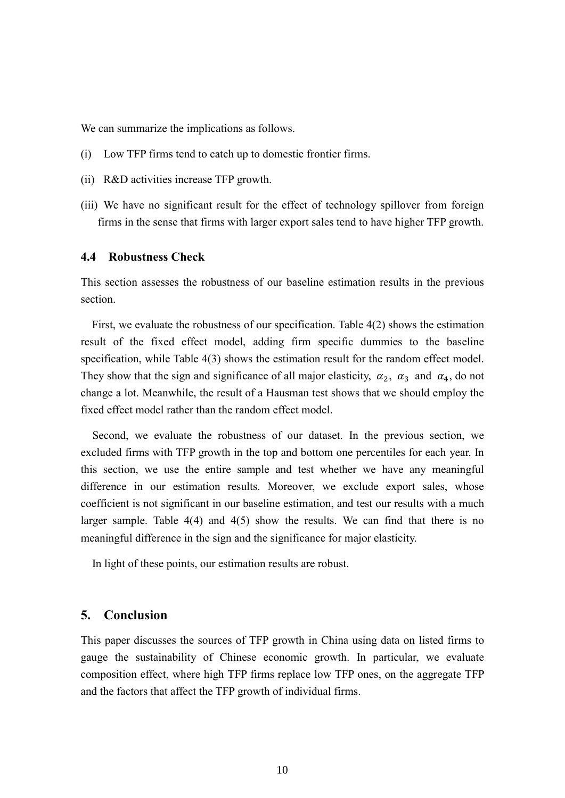We can summarize the implications as follows.

- (i) Low TFP firms tend to catch up to domestic frontier firms.
- (ii) R&D activities increase TFP growth.
- (iii) We have no significant result for the effect of technology spillover from foreign firms in the sense that firms with larger export sales tend to have higher TFP growth.

#### **4.4 Robustness Check**

This section assesses the robustness of our baseline estimation results in the previous section.

 First, we evaluate the robustness of our specification. Table 4(2) shows the estimation result of the fixed effect model, adding firm specific dummies to the baseline specification, while Table 4(3) shows the estimation result for the random effect model. They show that the sign and significance of all major elasticity,  $\alpha_2$ ,  $\alpha_3$  and  $\alpha_4$ , do not change a lot. Meanwhile, the result of a Hausman test shows that we should employ the fixed effect model rather than the random effect model.

Second, we evaluate the robustness of our dataset. In the previous section, we excluded firms with TFP growth in the top and bottom one percentiles for each year. In this section, we use the entire sample and test whether we have any meaningful difference in our estimation results. Moreover, we exclude export sales, whose coefficient is not significant in our baseline estimation, and test our results with a much larger sample. Table 4(4) and 4(5) show the results. We can find that there is no meaningful difference in the sign and the significance for major elasticity.

In light of these points, our estimation results are robust.

#### **5. Conclusion**

This paper discusses the sources of TFP growth in China using data on listed firms to gauge the sustainability of Chinese economic growth. In particular, we evaluate composition effect, where high TFP firms replace low TFP ones, on the aggregate TFP and the factors that affect the TFP growth of individual firms.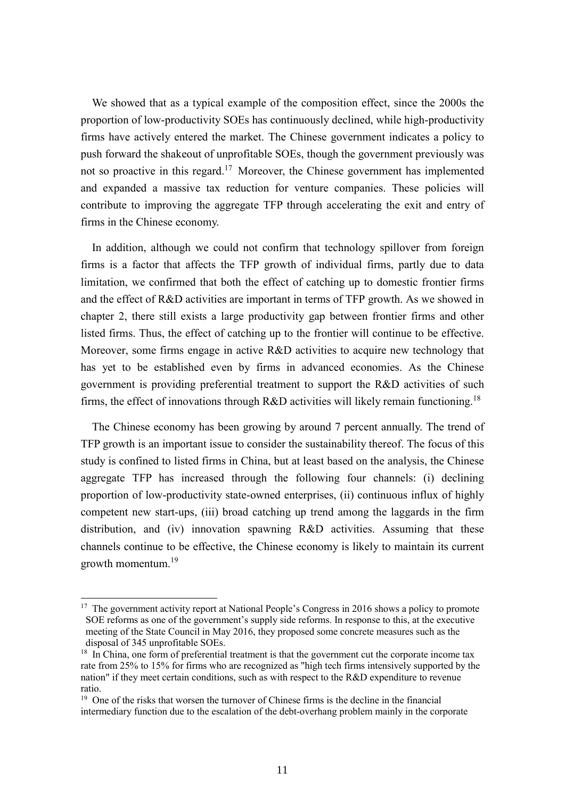We showed that as a typical example of the composition effect, since the 2000s the proportion of low-productivity SOEs has continuously declined, while high-productivity firms have actively entered the market. The Chinese government indicates a policy to push forward the shakeout of unprofitable SOEs, though the government previously was not so proactive in this regard.<sup>17</sup> Moreover, the Chinese government has implemented and expanded a massive tax reduction for venture companies. These policies will contribute to improving the aggregate TFP through accelerating the exit and entry of firms in the Chinese economy.

In addition, although we could not confirm that technology spillover from foreign firms is a factor that affects the TFP growth of individual firms, partly due to data limitation, we confirmed that both the effect of catching up to domestic frontier firms and the effect of R&D activities are important in terms of TFP growth. As we showed in chapter 2, there still exists a large productivity gap between frontier firms and other listed firms. Thus, the effect of catching up to the frontier will continue to be effective. Moreover, some firms engage in active R&D activities to acquire new technology that has yet to be established even by firms in advanced economies. As the Chinese government is providing preferential treatment to support the R&D activities of such firms, the effect of innovations through R&D activities will likely remain functioning.<sup>18</sup>

The Chinese economy has been growing by around 7 percent annually. The trend of TFP growth is an important issue to consider the sustainability thereof. The focus of this study is confined to listed firms in China, but at least based on the analysis, the Chinese aggregate TFP has increased through the following four channels: (i) declining proportion of low-productivity state-owned enterprises, (ii) continuous influx of highly competent new start-ups, (iii) broad catching up trend among the laggards in the firm distribution, and (iv) innovation spawning R&D activities. Assuming that these channels continue to be effective, the Chinese economy is likely to maintain its current growth momentum.<sup>19</sup>

-

<sup>&</sup>lt;sup>17</sup> The government activity report at National People's Congress in 2016 shows a policy to promote SOE reforms as one of the government's supply side reforms. In response to this, at the executive meeting of the State Council in May 2016, they proposed some concrete measures such as the disposal of 345 unprofitable SOEs.

<sup>&</sup>lt;sup>18</sup> In China, one form of preferential treatment is that the government cut the corporate income tax rate from 25% to 15% for firms who are recognized as "high tech firms intensively supported by the nation" if they meet certain conditions, such as with respect to the R&D expenditure to revenue ratio.

 $19$  One of the risks that worsen the turnover of Chinese firms is the decline in the financial intermediary function due to the escalation of the debt-overhang problem mainly in the corporate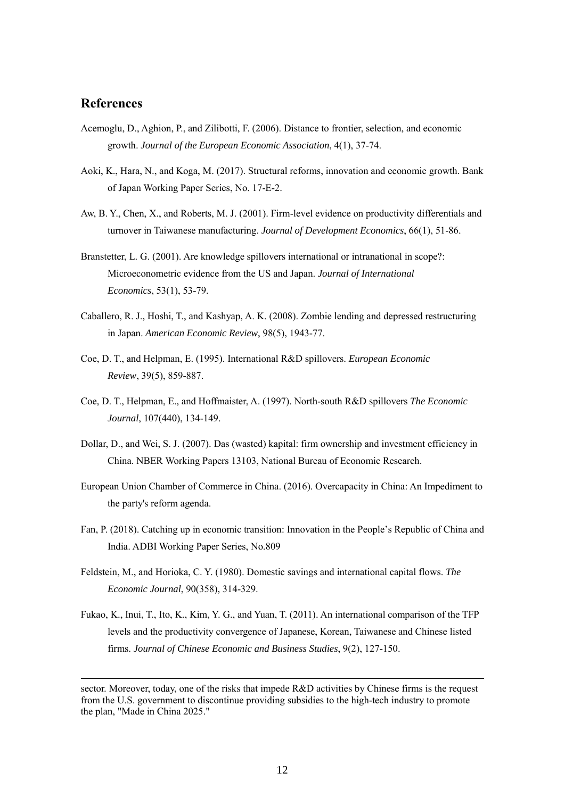#### **References**

-

- Acemoglu, D., Aghion, P., and Zilibotti, F. (2006). Distance to frontier, selection, and economic growth. *Journal of the European Economic Association*, 4(1), 37-74.
- Aoki, K., Hara, N., and Koga, M. (2017). Structural reforms, innovation and economic growth. Bank of Japan Working Paper Series, No. 17-E-2.
- Aw, B. Y., Chen, X., and Roberts, M. J. (2001). Firm-level evidence on productivity differentials and turnover in Taiwanese manufacturing. *Journal of Development Economics*, 66(1), 51-86.
- Branstetter, L. G. (2001). Are knowledge spillovers international or intranational in scope?: Microeconometric evidence from the US and Japan. *Journal of International Economics*, 53(1), 53-79.
- Caballero, R. J., Hoshi, T., and Kashyap, A. K. (2008). Zombie lending and depressed restructuring in Japan. *American Economic Review*, 98(5), 1943-77.
- Coe, D. T., and Helpman, E. (1995). International R&D spillovers. *European Economic Review*, 39(5), 859-887.
- Coe, D. T., Helpman, E., and Hoffmaister, A. (1997). North-south R&D spillovers *The Economic Journal*, 107(440), 134-149.
- Dollar, D., and Wei, S. J. (2007). Das (wasted) kapital: firm ownership and investment efficiency in China. NBER Working Papers 13103, National Bureau of Economic Research.
- European Union Chamber of Commerce in China. (2016). Overcapacity in China: An Impediment to the party's reform agenda.
- Fan, P. (2018). Catching up in economic transition: Innovation in the People's Republic of China and India. ADBI Working Paper Series, No.809
- Feldstein, M., and Horioka, C. Y. (1980). Domestic savings and international capital flows. *The Economic Journal*, 90(358), 314-329.
- Fukao, K., Inui, T., Ito, K., Kim, Y. G., and Yuan, T. (2011). An international comparison of the TFP levels and the productivity convergence of Japanese, Korean, Taiwanese and Chinese listed firms. *Journal of Chinese Economic and Business Studies*, 9(2), 127-150.

sector. Moreover, today, one of the risks that impede R&D activities by Chinese firms is the request from the U.S. government to discontinue providing subsidies to the high-tech industry to promote the plan, "Made in China 2025."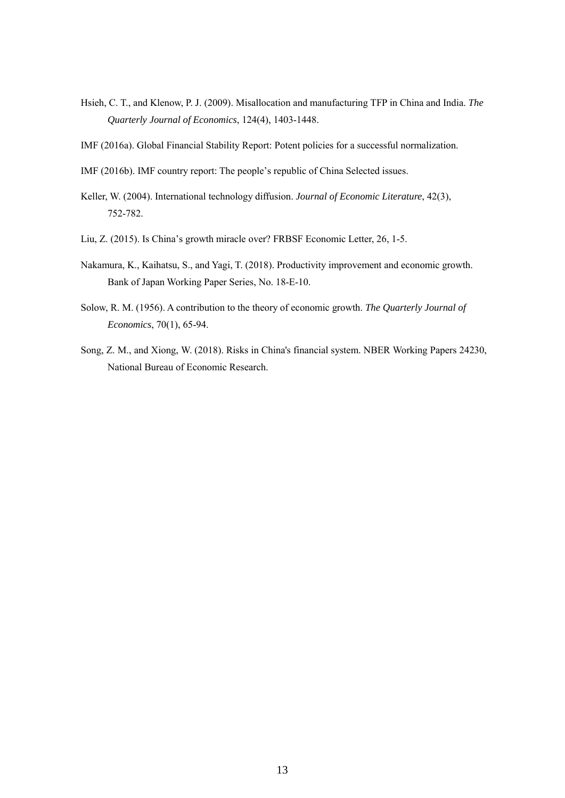- Hsieh, C. T., and Klenow, P. J. (2009). Misallocation and manufacturing TFP in China and India. *The Quarterly Journal of Economics*, 124(4), 1403-1448.
- IMF (2016a). Global Financial Stability Report: Potent policies for a successful normalization.
- IMF (2016b). IMF country report: The people's republic of China Selected issues.
- Keller, W. (2004). International technology diffusion. *Journal of Economic Literature*, 42(3), 752-782.
- Liu, Z. (2015). Is China's growth miracle over? FRBSF Economic Letter, 26, 1-5.
- Nakamura, K., Kaihatsu, S., and Yagi, T. (2018). Productivity improvement and economic growth. Bank of Japan Working Paper Series, No. 18-E-10.
- Solow, R. M. (1956). A contribution to the theory of economic growth. *The Quarterly Journal of Economics*, 70(1), 65-94.
- Song, Z. M., and Xiong, W. (2018). Risks in China's financial system. NBER Working Papers 24230, National Bureau of Economic Research.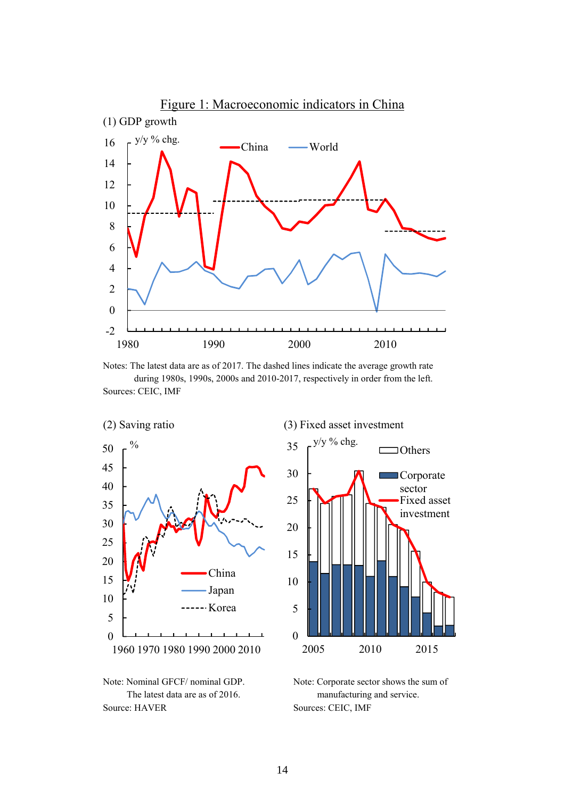

Notes: The latest data are as of 2017. The dashed lines indicate the average growth rate during 1980s, 1990s, 2000s and 2010-2017, respectively in order from the left. Sources: CEIC, IMF





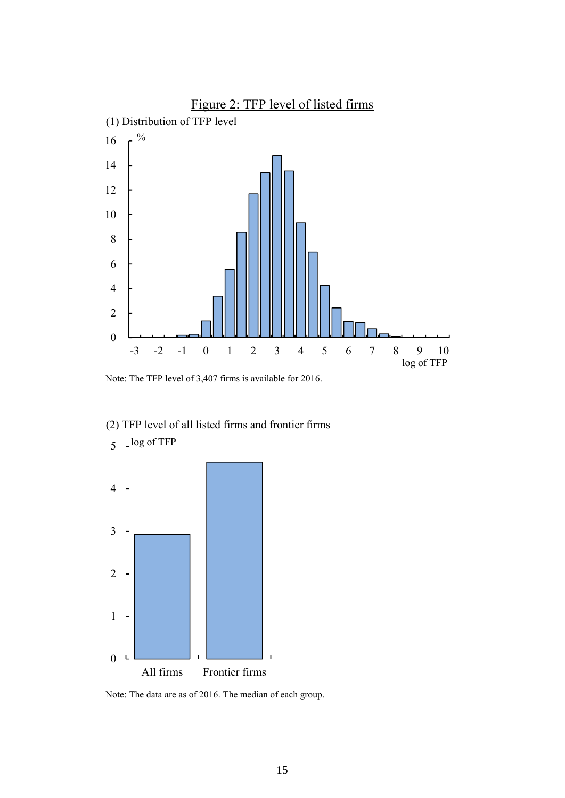

Note: The TFP level of 3,407 firms is available for 2016.



#### (2) TFP level of all listed firms and frontier firms

Note: The data are as of 2016. The median of each group.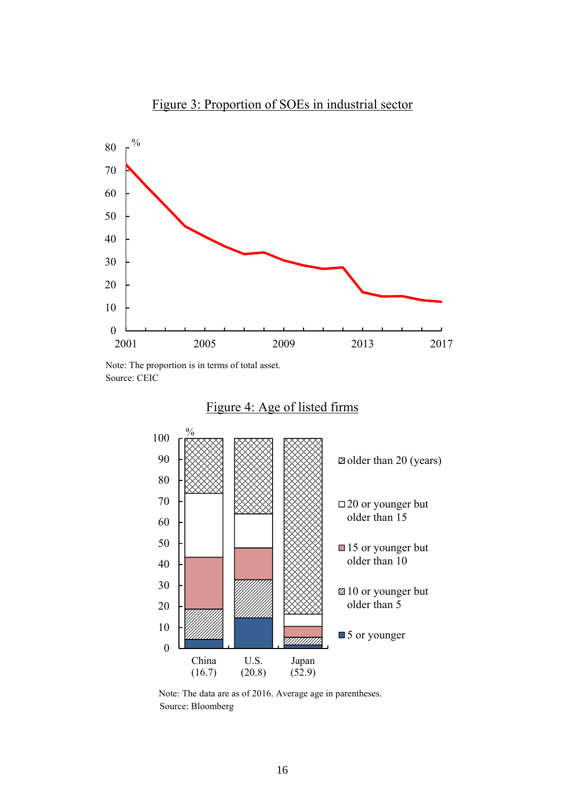

Note: The proportion is in terms of total asset. Source: CEIC





 Note: The data are as of 2016. Average age in parentheses. Source: Bloomberg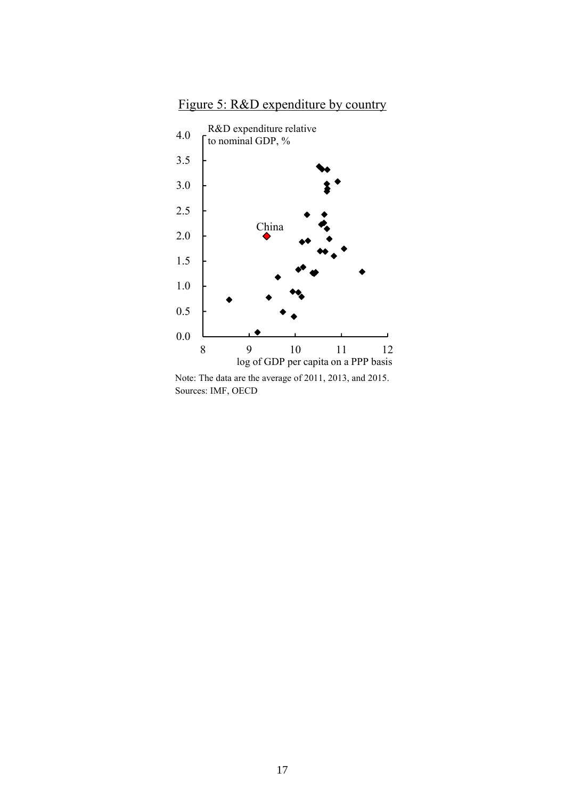



 Note: The data are the average of 2011, 2013, and 2015. Sources: IMF, OECD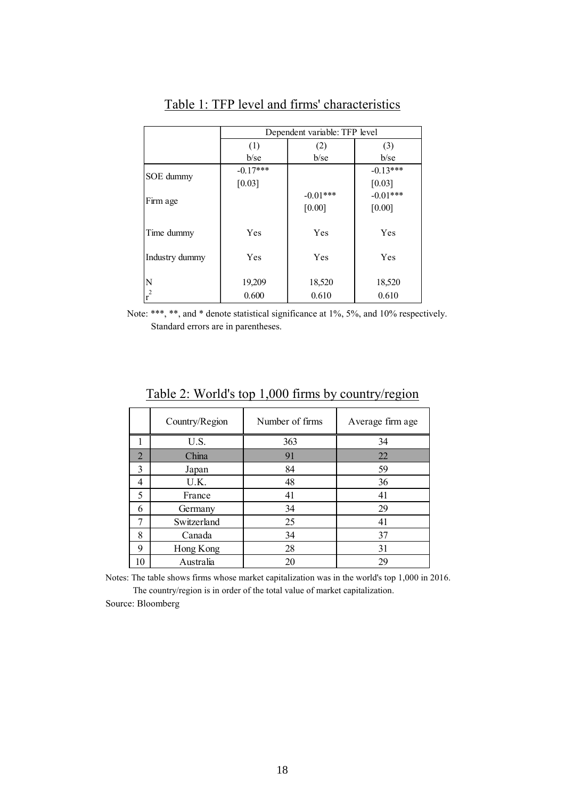|                | Dependent variable: TFP level |            |            |  |  |
|----------------|-------------------------------|------------|------------|--|--|
|                | (1)                           | (2)        | (3)        |  |  |
|                | $b$ /se                       | $b$ /se    | $b$ /se    |  |  |
| SOE dummy      | $-0.17***$                    |            |            |  |  |
|                | [0.03]                        |            | [0.03]     |  |  |
| Firm age       |                               | $-0.01***$ | $-0.01***$ |  |  |
|                |                               | [0.00]     | [0.00]     |  |  |
|                |                               |            |            |  |  |
| Time dummy     | Yes                           | Yes        | Yes        |  |  |
|                |                               |            |            |  |  |
| Industry dummy | Yes                           | Yes        | Yes        |  |  |
|                |                               |            |            |  |  |
| N              | 19,209                        | 18,520     | 18,520     |  |  |
| $r^2$          | 0.600                         | 0.610      | 0.610      |  |  |

## Table 1: TFP level and firms' characteristics

 Note: \*\*\*, \*\*, and \* denote statistical significance at 1%, 5%, and 10% respectively. Standard errors are in parentheses.

|                | Country/Region | Number of firms | Average firm age |
|----------------|----------------|-----------------|------------------|
|                | U.S.           | 363             | 34               |
| $\overline{2}$ | China          | 91              | 22               |
| 3              | Japan          | 84              | 59               |
| 4              | U.K.           | 48              | 36               |
| 5              | France         | 41              | 41               |
| 6              | Germany        | 34              | 29               |
| 7              | Switzerland    | 25              | 41               |
| 8              | Canada         | 34              | 37               |
| 9              | Hong Kong      | 28              | 31               |
| 10             | Australia      | 20              | 29               |

Table 2: World's top 1,000 firms by country/region

Notes: The table shows firms whose market capitalization was in the world's top 1,000 in 2016. The country/region is in order of the total value of market capitalization.

Source: Bloomberg